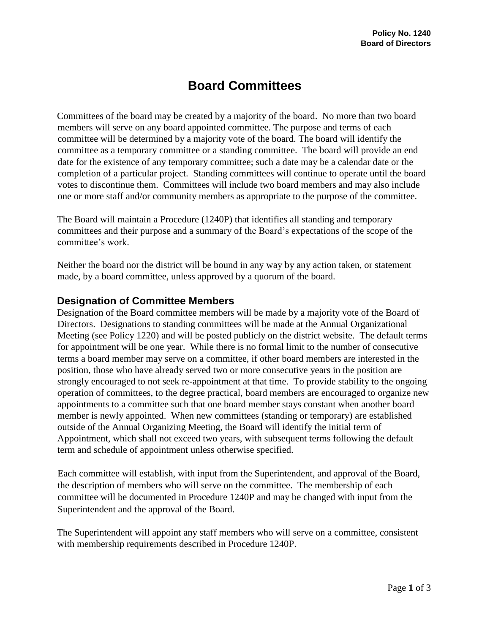## **Board Committees**

Committees of the board may be created by a majority of the board. No more than two board members will serve on any board appointed committee. The purpose and terms of each committee will be determined by a majority vote of the board. The board will identify the committee as a temporary committee or a standing committee. The board will provide an end date for the existence of any temporary committee; such a date may be a calendar date or the completion of a particular project. Standing committees will continue to operate until the board votes to discontinue them. Committees will include two board members and may also include one or more staff and/or community members as appropriate to the purpose of the committee.

The Board will maintain a Procedure (1240P) that identifies all standing and temporary committees and their purpose and a summary of the Board's expectations of the scope of the committee's work.

Neither the board nor the district will be bound in any way by any action taken, or statement made, by a board committee, unless approved by a quorum of the board.

## **Designation of Committee Members**

Designation of the Board committee members will be made by a majority vote of the Board of Directors. Designations to standing committees will be made at the Annual Organizational Meeting (see Policy 1220) and will be posted publicly on the district website. The default terms for appointment will be one year. While there is no formal limit to the number of consecutive terms a board member may serve on a committee, if other board members are interested in the position, those who have already served two or more consecutive years in the position are strongly encouraged to not seek re-appointment at that time. To provide stability to the ongoing operation of committees, to the degree practical, board members are encouraged to organize new appointments to a committee such that one board member stays constant when another board member is newly appointed. When new committees (standing or temporary) are established outside of the Annual Organizing Meeting, the Board will identify the initial term of Appointment, which shall not exceed two years, with subsequent terms following the default term and schedule of appointment unless otherwise specified.

Each committee will establish, with input from the Superintendent, and approval of the Board, the description of members who will serve on the committee. The membership of each committee will be documented in Procedure 1240P and may be changed with input from the Superintendent and the approval of the Board.

The Superintendent will appoint any staff members who will serve on a committee, consistent with membership requirements described in Procedure 1240P.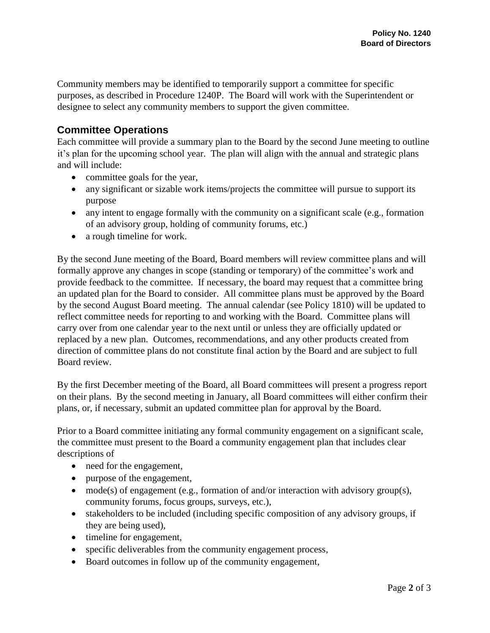Community members may be identified to temporarily support a committee for specific purposes, as described in Procedure 1240P. The Board will work with the Superintendent or designee to select any community members to support the given committee.

## **Committee Operations**

Each committee will provide a summary plan to the Board by the second June meeting to outline it's plan for the upcoming school year. The plan will align with the annual and strategic plans and will include:

- committee goals for the year,
- any significant or sizable work items/projects the committee will pursue to support its purpose
- any intent to engage formally with the community on a significant scale (e.g., formation of an advisory group, holding of community forums, etc.)
- a rough timeline for work.

By the second June meeting of the Board, Board members will review committee plans and will formally approve any changes in scope (standing or temporary) of the committee's work and provide feedback to the committee. If necessary, the board may request that a committee bring an updated plan for the Board to consider. All committee plans must be approved by the Board by the second August Board meeting. The annual calendar (see Policy 1810) will be updated to reflect committee needs for reporting to and working with the Board. Committee plans will carry over from one calendar year to the next until or unless they are officially updated or replaced by a new plan. Outcomes, recommendations, and any other products created from direction of committee plans do not constitute final action by the Board and are subject to full Board review.

By the first December meeting of the Board, all Board committees will present a progress report on their plans. By the second meeting in January, all Board committees will either confirm their plans, or, if necessary, submit an updated committee plan for approval by the Board.

Prior to a Board committee initiating any formal community engagement on a significant scale, the committee must present to the Board a community engagement plan that includes clear descriptions of

- need for the engagement,
- purpose of the engagement,
- mode(s) of engagement (e.g., formation of and/or interaction with advisory group(s), community forums, focus groups, surveys, etc.),
- stakeholders to be included (including specific composition of any advisory groups, if they are being used),
- timeline for engagement,
- specific deliverables from the community engagement process,
- Board outcomes in follow up of the community engagement,